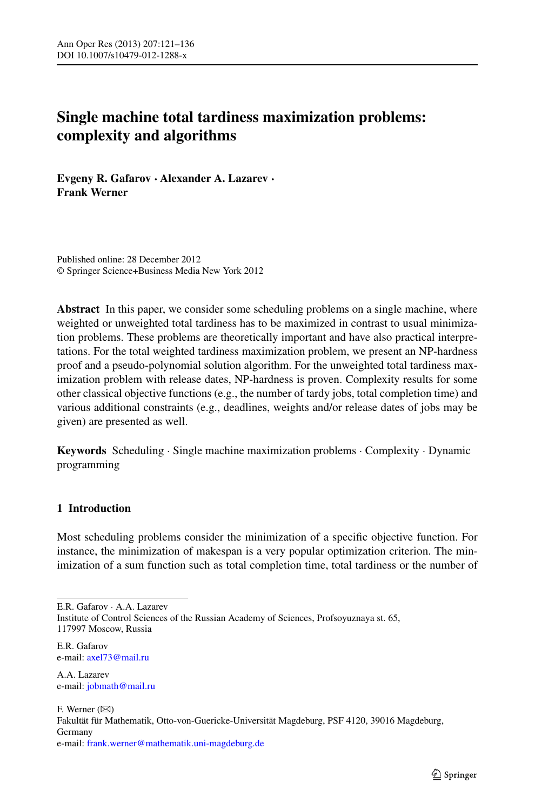# **Single machine total tardiness maximization problems: complexity and algorithms**

**Evgeny R. Gafarov · Alexander A. Lazarev · Frank Werner**

Published online: 28 December 2012 © Springer Science+Business Media New York 2012

**Abstract** In this paper, we consider some scheduling problems on a single machine, where weighted or unweighted total tardiness has to be maximized in contrast to usual minimization problems. These problems are theoretically important and have also practical interpretations. For the total weighted tardiness maximization problem, we present an NP-hardness proof and a pseudo-polynomial solution algorithm. For the unweighted total tardiness maximization problem with release dates, NP-hardness is proven. Complexity results for some other classical objective functions (e.g., the number of tardy jobs, total completion time) and various additional constraints (e.g., deadlines, weights and/or release dates of jobs may be given) are presented as well.

**Keywords** Scheduling · Single machine maximization problems · Complexity · Dynamic programming

## **1 Introduction**

Most scheduling problems consider the minimization of a specific objective function. For instance, the minimization of makespan is a very popular optimization criterion. The minimization of a sum function such as total completion time, total tardiness or the number of

E.R. Gafarov · A.A. Lazarev

Institute of Control Sciences of the Russian Academy of Sciences, Profsoyuznaya st. 65, 117997 Moscow, Russia

E.R. Gafarov e-mail: [axel73@mail.ru](mailto:axel73@mail.ru)

A.A. Lazarev e-mail: [jobmath@mail.ru](mailto:jobmath@mail.ru)

F. Werner  $(\boxtimes)$ Fakultät für Mathematik, Otto-von-Guericke-Universität Magdeburg, PSF 4120, 39016 Magdeburg, Germany e-mail: [frank.werner@mathematik.uni-magdeburg.de](mailto:frank.werner@mathematik.uni-magdeburg.de)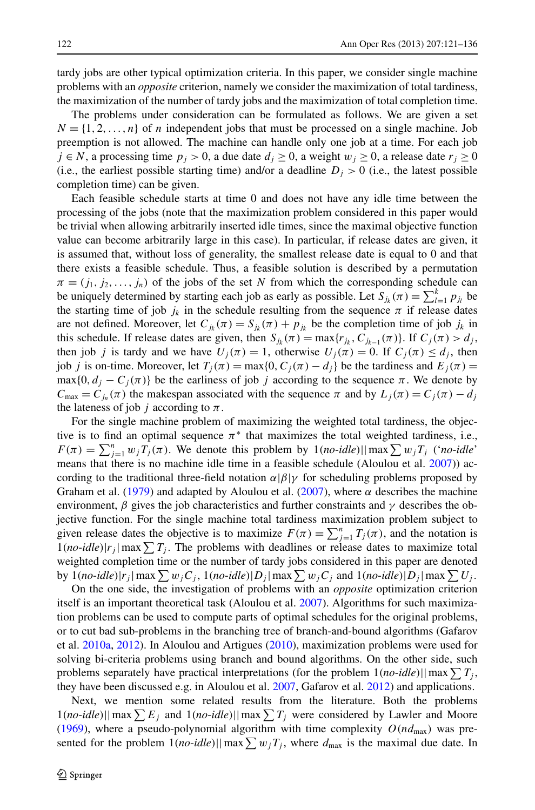tardy jobs are other typical optimization criteria. In this paper, we consider single machine problems with an *opposite* criterion, namely we consider the maximization of total tardiness, the maximization of the number of tardy jobs and the maximization of total completion time.

The problems under consideration can be formulated as follows. We are given a set  $N = \{1, 2, \ldots, n\}$  of *n* independent jobs that must be processed on a single machine. Job preemption is not allowed. The machine can handle only one job at a time. For each job *j* ∈ *N*, a processing time  $p_j$  > 0, a due date  $d_j$  ≥ 0, a weight  $w_j$  ≥ 0, a release date  $r_j$  ≥ 0 (i.e., the earliest possible starting time) and/or a deadline  $D_i > 0$  (i.e., the latest possible completion time) can be given.

Each feasible schedule starts at time 0 and does not have any idle time between the processing of the jobs (note that the maximization problem considered in this paper would be trivial when allowing arbitrarily inserted idle times, since the maximal objective function value can become arbitrarily large in this case). In particular, if release dates are given, it is assumed that, without loss of generality, the smallest release date is equal to 0 and that there exists a feasible schedule. Thus, a feasible solution is described by a permutation  $\pi = (j_1, j_2, \ldots, j_n)$  of the jobs of the set *N* from which the corresponding schedule can be uniquely determined by starting each job as early as possible. Let  $S_{jk}(\pi) = \sum_{l=1}^{k} p_{j_l}$  be the starting time of job  $j_k$  in the schedule resulting from the sequence  $\pi$  if release dates are not defined. Moreover, let  $C_{jk}(\pi) = S_{jk}(\pi) + p_{jk}$  be the completion time of job  $j_k$  in this schedule. If release dates are given, then  $S_{jk}(\pi) = \max\{r_{jk}, C_{jk-1}(\pi)\}\$ . If  $C_j(\pi) > d_j$ , then job *j* is tardy and we have  $U_i(\pi) = 1$ , otherwise  $U_i(\pi) = 0$ . If  $C_i(\pi) \le d_i$ , then job *j* is on-time. Moreover, let  $T_i(\pi) = \max\{0, C_i(\pi) - d_i\}$  be the tardiness and  $E_i(\pi) =$  $max{0, d_j - C_j(\pi)}$  be the earliness of job *j* according to the sequence  $\pi$ . We denote by  $C_{\text{max}} = C_{j_n}(\pi)$  the makespan associated with the sequence  $\pi$  and by  $L_j(\pi) = C_j(\pi) - d_j$ the lateness of job *j* according to  $\pi$ .

For the single machine problem of maximizing the weighted total tardiness, the objective is to find an optimal sequence  $\pi^*$  that maximizes the total weighted tardiness, i.e.,  $F(\pi) = \sum_{j=1}^{n} w_j T_j(\pi)$ . We denote this problem by  $1(no$ -*idle*)||max $\sum w_j T_j$  ('*no*-*idle*' means that there is no machine idle time in a feasible schedule (Aloulou et al. [2007\)](#page-15-0)) according to the traditional three-field notation  $\alpha/\beta/\gamma$  for scheduling problems proposed by Graham et al. [\(1979](#page-15-1)) and adapted by Aloulou et al. [\(2007](#page-15-0)), where  $\alpha$  describes the machine environment,  $\beta$  gives the job characteristics and further constraints and  $\gamma$  describes the objective function. For the single machine total tardiness maximization problem subject to given release dates the objective is to maximize  $F(\pi) = \sum_{j=1}^{n} T_j(\pi)$ , and the notation is  $1(no$ -*idle*)| $r_j$ | max  $\sum T_j$ . The problems with deadlines or release dates to maximize total weighted completion time or the number of tardy jobs considered in this paper are denoted by  $1(no\text{-}idle)|r_j|\max\sum w_jC_j$ ,  $1(no\text{-}idle)|D_j|\max\sum w_jC_j$  and  $1(no\text{-}idle)|D_j|\max\sum U_j$ .

On the one side, the investigation of problems with an *opposite* optimization criterion itself is an important theoretical task (Aloulou et al. [2007\)](#page-15-0). Algorithms for such maximization problems can be used to compute parts of optimal schedules for the original problems, or to cut bad sub-problems in the branching tree of branch-and-bound algorithms (Gafarov et al. [2010a](#page-15-2), [2012\)](#page-15-3). In Aloulou and Artigues [\(2010](#page-15-4)), maximization problems were used for solving bi-criteria problems using branch and bound algorithms. On the other side, such problems separately have practical interpretations (for the problem  $1(no$ *-idle*)||max $\sum T_j$ , they have been discussed e.g. in Aloulou et al. [2007,](#page-15-0) Gafarov et al. [2012\)](#page-15-3) and applications.

Next, we mention some related results from the literature. Both the problems  $1(no$ -*idle*)||max $\sum E_j$  and  $1(no$ -*idle*)||max $\sum T_j$  were considered by Lawler and Moore ([1969\)](#page-15-5), where a pseudo-polynomial algorithm with time complexity  $O(nd_{\text{max}})$  was presented for the problem  $1(no$ *-idle*)||max  $\sum w_j T_j$ , where  $d_{\text{max}}$  is the maximal due date. In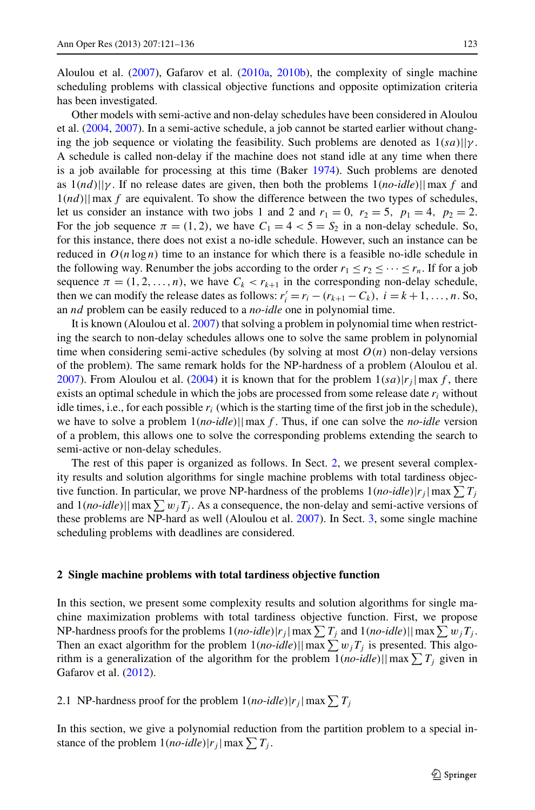Aloulou et al. ([2007](#page-15-0)), Gafarov et al. [\(2010a](#page-15-2), [2010b](#page-15-6)), the complexity of single machine scheduling problems with classical objective functions and opposite optimization criteria has been investigated.

Other models with semi-active and non-delay schedules have been considered in Aloulou et al. ([2004,](#page-15-7) [2007](#page-15-0)). In a semi-active schedule, a job cannot be started earlier without changing the job sequence or violating the feasibility. Such problems are denoted as  $1(sa)||\gamma$ . A schedule is called non-delay if the machine does not stand idle at any time when there is a job available for processing at this time (Baker [1974\)](#page-15-8). Such problems are denoted as 1*(nd)*||*γ* . If no release dates are given, then both the problems 1*(no*-*idle)*||max *f* and 1*(nd)*||max *f* are equivalent. To show the difference between the two types of schedules, let us consider an instance with two jobs 1 and 2 and  $r_1 = 0$ ,  $r_2 = 5$ ,  $p_1 = 4$ ,  $p_2 = 2$ . For the job sequence  $\pi = (1, 2)$ , we have  $C_1 = 4 < 5 = S_2$  in a non-delay schedule. So, for this instance, there does not exist a no-idle schedule. However, such an instance can be reduced in  $O(n \log n)$  time to an instance for which there is a feasible no-idle schedule in the following way. Renumber the jobs according to the order  $r_1 \le r_2 \le \cdots \le r_n$ . If for a job sequence  $\pi = (1, 2, \ldots, n)$ , we have  $C_k < r_{k+1}$  in the corresponding non-delay schedule, then we can modify the release dates as follows:  $r'_i = r_i - (r_{k+1} - C_k)$ ,  $i = k+1, ..., n$ . So, an *nd* problem can be easily reduced to a *no*-*idle* one in polynomial time.

It is known (Aloulou et al. [2007](#page-15-0)) that solving a problem in polynomial time when restricting the search to non-delay schedules allows one to solve the same problem in polynomial time when considering semi-active schedules (by solving at most  $O(n)$  non-delay versions of the problem). The same remark holds for the NP-hardness of a problem (Aloulou et al. [2007\)](#page-15-0). From Aloulou et al. ([2004\)](#page-15-7) it is known that for the problem  $1(sa)|r_j|$  max *f*, there exists an optimal schedule in which the jobs are processed from some release date *ri* without idle times, i.e., for each possible *ri* (which is the starting time of the first job in the schedule), we have to solve a problem 1*(no*-*idle)*||max *f* . Thus, if one can solve the *no*-*idle* version of a problem, this allows one to solve the corresponding problems extending the search to semi-active or non-delay schedules.

<span id="page-2-0"></span>The rest of this paper is organized as follows. In Sect. [2](#page-2-0), we present several complexity results and solution algorithms for single machine problems with total tardiness objective function. In particular, we prove NP-hardness of the problems  $1(no$ - $idle)$ | $r_j$ |max $\sum T_j$ and  $1(no$ -*idle*)||max $\sum w_jT_j$ . As a consequence, the non-delay and semi-active versions of these problems are NP-hard as well (Aloulou et al. [2007\)](#page-15-0). In Sect. [3](#page-13-0), some single machine scheduling problems with deadlines are considered.

#### **2 Single machine problems with total tardiness objective function**

In this section, we present some complexity results and solution algorithms for single machine maximization problems with total tardiness objective function. First, we propose NP-hardness proofs for the problems  $1(no$ - $idle) | r_j | \max \sum T_j$  and  $1(no$ - $idle) | | \max \sum w_j T_j$ . Then an exact algorithm for the problem  $1(no$ -*idle*)||max $\sum w_j T_j$  is presented. This algorithm is a generalization of the algorithm for the problem  $1(no$ -*idle*)||max $\sum T_j$  given in Gafarov et al. ([2012\)](#page-15-3).

2.1 NP-hardness proof for the problem  $1(no$ -*idle*)| $r_j$ | max  $\sum T_j$ 

In this section, we give a polynomial reduction from the partition problem to a special instance of the problem  $1(no$ -*idle*)| $r_j$ | max  $\sum T_j$ .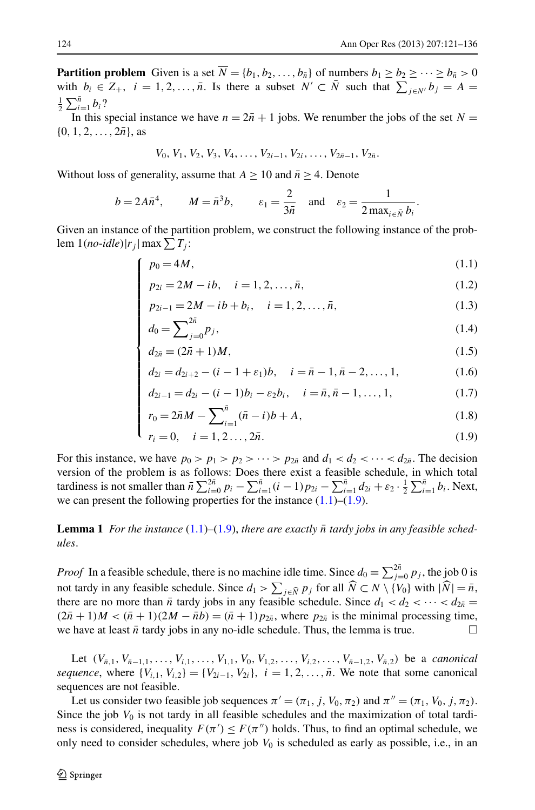**Partition problem** Given is a set  $\overline{N} = \{b_1, b_2, \ldots, b_{\overline{n}}\}$  of numbers  $b_1 \geq b_2 \geq \cdots \geq b_{\overline{n}} > 0$ with  $b_i \in Z_+$ ,  $i = 1, 2, ..., \bar{n}$ . Is there a subset  $N' \subset \bar{N}$  such that  $\sum_{j \in N'} b_j = A =$  $\frac{1}{2}\sum_{i=1}^{\bar{n}}b_i$ ?

In this special instance we have  $n = 2\bar{n} + 1$  jobs. We renumber the jobs of the set  $N =$  $\{0, 1, 2, \ldots, 2\bar{n}\},\$ as

<span id="page-3-3"></span>
$$
V_0, V_1, V_2, V_3, V_4, \ldots, V_{2i-1}, V_{2i}, \ldots, V_{2\bar{n}-1}, V_{2\bar{n}}.
$$

Without loss of generality, assume that  $A > 10$  and  $\bar{n} > 4$ . Denote

⎪⎪⎪⎪⎪⎪⎪⎪⎪⎪⎪⎪⎪⎪⎪⎪⎪⎪⎪⎪⎩

<span id="page-3-0"></span>
$$
b = 2A\overline{n}^4
$$
,  $M = \overline{n}^3b$ ,  $\varepsilon_1 = \frac{2}{3\overline{n}}$  and  $\varepsilon_2 = \frac{1}{2 \max_{i \in \overline{N}} b_i}$ .

Given an instance of the partition problem, we construct the following instance of the prob $l$ em  $1(no$ -*idle*)| $r_j$ | max $\sum T_j$ :

$$
\int p_0 = 4M,\tag{1.1}
$$

<span id="page-3-4"></span>
$$
p_{2i} = 2M - ib, \quad i = 1, 2, \dots, \bar{n}, \tag{1.2}
$$

$$
p_{2i} = 2M - ib, \quad i = 1, 2, ..., \bar{n},
$$
\n
$$
p_{2i-1} = 2M - ib + b_i, \quad i = 1, 2, ..., \bar{n},
$$
\n
$$
d_0 = \sum_{j=0}^{2\bar{n}} p_j,
$$
\n
$$
d_1 = (2\bar{n} + 1)M,
$$
\n
$$
(1.5)
$$
\n
$$
(1.5)
$$

<span id="page-3-1"></span>
$$
d_0 = \sum_{j=0}^{2\bar{n}} p_j,\tag{1.4}
$$

$$
d_{2\bar{n}} = (2\bar{n} + 1)M, \tag{1.5}
$$

$$
d_{2i} = d_{2i+2} - (i - 1 + \varepsilon_1)b, \quad i = \bar{n} - 1, \bar{n} - 2, \dots, 1,
$$
 (1.6)

$$
d_{2i-1} = d_{2i} - (i-1)b_i - \varepsilon_2 b_i, \quad i = \bar{n}, \bar{n} - 1, ..., 1,
$$
 (1.7)

$$
r_0 = 2\bar{n}M - \sum_{i=1}^{\bar{n}} (\bar{n} - i)b + A,\tag{1.8}
$$

$$
r_i = 0, \quad i = 1, 2, \dots, 2\bar{n}.
$$
 (1.9)

<span id="page-3-2"></span>For this instance, we have  $p_0 > p_1 > p_2 > \cdots > p_{2n}$  and  $d_1 < d_2 < \cdots < d_{2n}$ . The decision version of the problem is as follows: Does there exist a feasible schedule, in which total tardiness is not smaller than  $\bar{n} \sum_{i=0}^{2\bar{n}} p_i - \sum_{i=1}^{\bar{n}} (i-1)p_{2i} - \sum_{i=1}^{\bar{n}} d_{2i} + \varepsilon_2 \cdot \frac{1}{2} \sum_{i=1}^{\bar{n}} b_i$ . Next, we can present the following properties for the instance  $(1.1)$  $(1.1)$ – $(1.9)$  $(1.9)$ .

**Lemma 1** For the instance  $(1.1)$  $(1.1)$ – $(1.9)$  $(1.9)$ , there are exactly  $\bar{n}$  tardy jobs in any feasible sched*ules*.

*Proof* In a feasible schedule, there is no machine idle time. Since  $d_0 = \sum_{j=0}^{2\bar{n}} p_j$ , the job 0 is not tardy in any feasible schedule. Since  $d_1 > \sum_{j \in \hat{N}} p_j$  for all  $N \subset N \setminus \{V_0\}$  with  $|\hat{N}| = \bar{n}$ , there are no more than  $\bar{n}$  tordy jobs in any feasible schedule. Since  $d_1 \leq d_2 \leq \cdots \leq d_n$ there are no more than  $\bar{n}$  tardy jobs in any feasible schedule. Since  $d_1 < d_2 < \cdots < d_{2\bar{n}} =$  $(2\bar{n} + 1)M < (\bar{n} + 1)(2M - \bar{n}b) = (\bar{n} + 1)p_{2\bar{n}}$ , where  $p_{2\bar{n}}$  is the minimal processing time, we have at least  $\bar{n}$  tardy jobs in any no-idle schedule. Thus, the lemma is true.

Let  $(V_{\bar{n},1}, V_{\bar{n}-1,1}, \ldots, V_{i,1}, \ldots, V_{1,1}, V_0, V_{1,2}, \ldots, V_{i,2}, \ldots, V_{\bar{n}-1,2}, V_{\bar{n},2})$  be a *canonical sequence*, where  $\{V_{i,1}, V_{i,2}\} = \{V_{2i-1}, V_{2i}\}, i = 1, 2, ..., \bar{n}$ . We note that some canonical sequences are not feasible.

Let us consider two feasible job sequences  $\pi' = (\pi_1, j, V_0, \pi_2)$  and  $\pi'' = (\pi_1, V_0, j, \pi_2)$ . Since the job  $V_0$  is not tardy in all feasible schedules and the maximization of total tardiness is considered, inequality  $F(\pi') \leq F(\pi'')$  holds. Thus, to find an optimal schedule, we only need to consider schedules, where job  $V_0$  is scheduled as early as possible, i.e., in an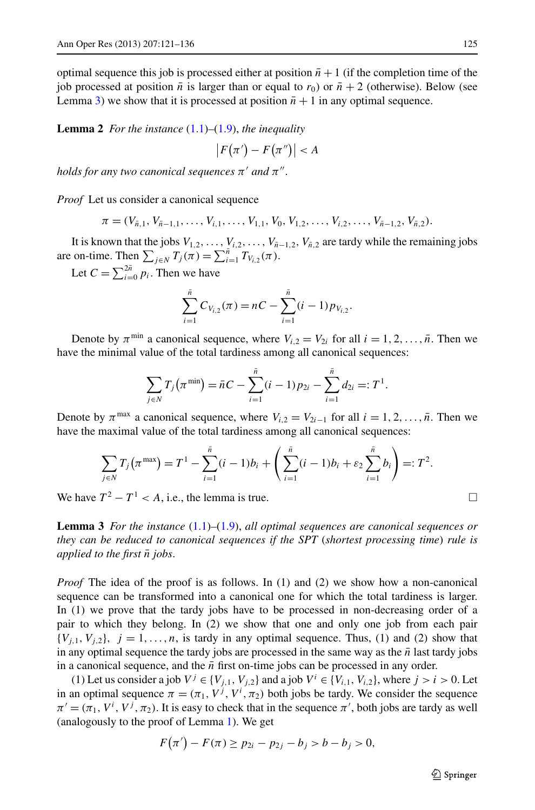<span id="page-4-1"></span>optimal sequence this job is processed either at position  $\bar{n}+1$  (if the completion time of the job processed at position  $\bar{n}$  is larger than or equal to  $r_0$ ) or  $\bar{n}+2$  (otherwise). Below (see Lemma [3\)](#page-4-0) we show that it is processed at position  $\bar{n}+1$  in any optimal sequence.

**Lemma 2** *For the instance* [\(1.1](#page-3-0))*–*[\(1.9\)](#page-3-1), *the inequality*

$$
|F(\pi') - F(\pi'')| < A
$$

*holds for any two canonical sequences*  $\pi'$  *and*  $\pi''$ .

*Proof* Let us consider a canonical sequence

 $\pi = (V_{\bar{n},1}, V_{\bar{n}-1,1}, \ldots, V_{i,1}, \ldots, V_{1,1}, V_0, V_{1,2}, \ldots, V_{i,2}, \ldots, V_{\bar{n}-1,2}, V_{\bar{n},2}).$ 

It is known that the jobs  $V_{1,2}, \ldots, V_{i,2}, \ldots, V_{\bar{n}-1,2}, V_{\bar{n},2}$  are tardy while the remaining jobs are on-time. Then  $\sum_{j \in N} T_j(\pi) = \sum_{i=1}^{\bar{n}} T_{V_{i,2}}(\pi)$ .

Let  $C = \sum_{i=0}^{2n} p_i$ . Then we have

$$
\sum_{i=1}^{\bar{n}} C_{V_{i,2}}(\pi) = nC - \sum_{i=1}^{\bar{n}} (i-1) p_{V_{i,2}}.
$$

Denote by  $\pi^{\min}$  a canonical sequence, where  $V_{i,2} = V_{2i}$  for all  $i = 1, 2, ..., \bar{n}$ . Then we have the minimal value of the total tardiness among all canonical sequences:

$$
\sum_{j \in N} T_j(\pi^{\min}) = \bar{n}C - \sum_{i=1}^{\bar{n}} (i-1)p_{2i} - \sum_{i=1}^{\bar{n}} d_{2i} =: T^1.
$$

<span id="page-4-0"></span>Denote by  $\pi^{\max}$  a canonical sequence, where  $V_{i,2} = V_{2i-1}$  for all  $i = 1, 2, ..., \bar{n}$ . Then we have the maximal value of the total tardiness among all canonical sequences:

$$
\sum_{j \in N} T_j(\pi^{\max}) = T^1 - \sum_{i=1}^{\bar{n}} (i-1)b_i + \left(\sum_{i=1}^{\bar{n}} (i-1)b_i + \varepsilon_2 \sum_{i=1}^{\bar{n}} b_i\right) =: T^2.
$$

We have  $T^2 - T^1 < A$ , i.e., the lemma is true.

**Lemma 3** *For the instance* [\(1.1](#page-3-0))*–*[\(1.9](#page-3-1)), *all optimal sequences are canonical sequences or they can be reduced to canonical sequences if the SPT* (*shortest processing time*) *rule is applied to the first n*¯ *jobs*.

*Proof* The idea of the proof is as follows. In (1) and (2) we show how a non-canonical sequence can be transformed into a canonical one for which the total tardiness is larger. In (1) we prove that the tardy jobs have to be processed in non-decreasing order of a pair to which they belong. In (2) we show that one and only one job from each pair  ${V_{i,1}, V_{i,2}}$ ,  $j = 1, \ldots, n$ , is tardy in any optimal sequence. Thus, (1) and (2) show that in any optimal sequence the tardy jobs are processed in the same way as the  $\bar{n}$  last tardy jobs in a canonical sequence, and the  $\bar{n}$  first on-time jobs can be processed in any order.

(1) Let us consider a job  $V^j \in \{V_{j,1}, V_{j,2}\}$  and a job  $V^i \in \{V_{i,1}, V_{i,2}\}$ , where  $j > i > 0$ . Let in an optimal sequence  $\pi = (\pi_1, V^j, V^i, \pi_2)$  both jobs be tardy. We consider the sequence  $\pi' = (\pi_1, V^i, V^j, \pi_2)$ . It is easy to check that in the sequence  $\pi'$ , both jobs are tardy as well (analogously to the proof of Lemma [1\)](#page-3-2). We get

$$
F(\pi') - F(\pi) \ge p_{2i} - p_{2j} - b_j > b - b_j > 0,
$$

$$
\Box
$$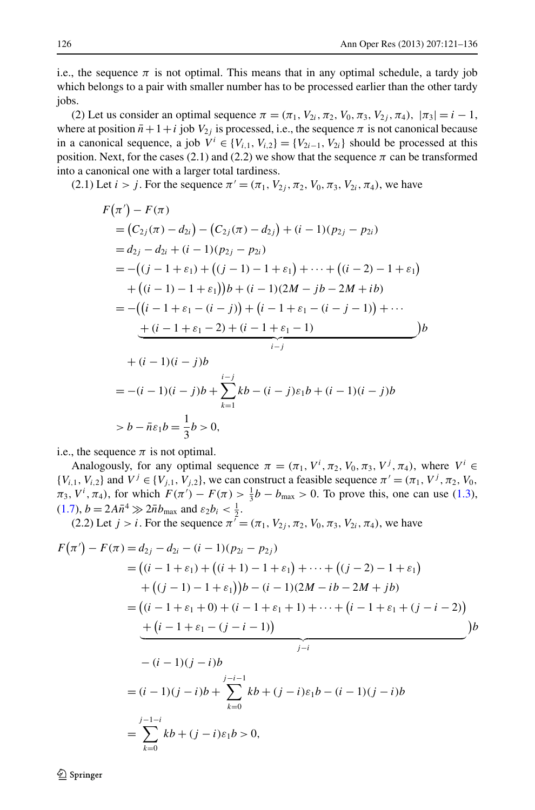i.e., the sequence  $\pi$  is not optimal. This means that in any optimal schedule, a tardy job which belongs to a pair with smaller number has to be processed earlier than the other tardy jobs.

(2) Let us consider an optimal sequence  $\pi = (\pi_1, V_{2i}, \pi_2, V_0, \pi_3, V_{2j}, \pi_4)$ ,  $|\pi_3| = i - 1$ , where at position  $\bar{n}+1+i$  job  $V_{2i}$  is processed, i.e., the sequence  $\pi$  is not canonical because in a canonical sequence, a job  $V^i \in \{V_{i,1}, V_{i,2}\} = \{V_{2i-1}, V_{2i}\}$  should be processed at this position. Next, for the cases (2.1) and (2.2) we show that the sequence  $\pi$  can be transformed into a canonical one with a larger total tardiness.

(2.1) Let *i* > *j*. For the sequence  $\pi' = (\pi_1, V_2, \pi_2, V_0, \pi_3, V_2, \pi_4)$ , we have

$$
F(\pi') - F(\pi)
$$
  
=  $(C_{2j}(\pi) - d_{2i}) - (C_{2j}(\pi) - d_{2j}) + (i - 1)(p_{2j} - p_{2i})$   
=  $d_{2j} - d_{2i} + (i - 1)(p_{2j} - p_{2i})$   
=  $-(j - 1 + \varepsilon_1) + ((j - 1) - 1 + \varepsilon_1) + \dots + ((i - 2) - 1 + \varepsilon_1)$   
+  $((i - 1) - 1 + \varepsilon_1))b + (i - 1)(2M - jb - 2M + ib)$   
=  $-(i - 1 + \varepsilon_1 - (i - j)) + (i - 1 + \varepsilon_1 - (i - j - 1)) + \dots$   
+  $(i - 1 + \varepsilon_1 - 2) + (i - 1 + \varepsilon_1 - 1)$   
+  $(i - 1)(i - j)b$   
=  $-(i - 1)(i - j)b + \sum_{k=1}^{i-j} kb - (i - j)\varepsilon_1 b + (i - 1)(i - j)b$   
>  $b - \bar{n}\varepsilon_1 b = \frac{1}{3}b > 0$ ,

i.e., the sequence  $\pi$  is not optimal.

Analogously, for any optimal sequence  $\pi = (\pi_1, V^i, \pi_2, V_0, \pi_3, V^j, \pi_4)$ , where  $V^i \in$  ${V_{i,1}, V_{i,2}}$  and  $V^j \in {V_{j,1}, V_{j,2}}$ , we can construct a feasible sequence  $\pi' = (\pi_1, V^j, \pi_2, V_0, \pi_1, V^j, \pi_2, V_0, \pi_1, V^j, \pi_2, V^j, \pi_1, V^j, \pi_2, V^j, \pi_1, V^j, \pi_2, V^j, \pi_1, V^j, \pi_2, V^j, \pi_1, V^j, \pi_2, V^j, \pi_1, V^j, \pi$  $\pi_3$ ,  $V^i$ ,  $\pi_4$ ), for which  $F(\pi') - F(\pi) > \frac{1}{3}b - b_{\max} > 0$ . To prove this, one can use [\(1.3](#page-3-3)),  $(1.7)$  $(1.7)$ ,  $b = 2A\bar{n}^4 \gg 2\bar{n}b_{\text{max}}$  and  $\varepsilon_2b_i < \frac{1}{2}$ .

(2.2) Let *j* > *i*. For the sequence  $\pi^{7} = (\pi_1, V_2, \pi_2, V_0, \pi_3, V_2, \pi_4)$ , we have

$$
F(\pi') - F(\pi) = d_{2j} - d_{2i} - (i - 1)(p_{2i} - p_{2j})
$$
  
=  $((i - 1 + \varepsilon_1) + ((i + 1) - 1 + \varepsilon_1) + \dots + ((j - 2) - 1 + \varepsilon_1))$   
+  $((j - 1) - 1 + \varepsilon_1)B - (i - 1)(2M - ib - 2M + jb)$   
=  $((i - 1 + \varepsilon_1 + 0) + (i - 1 + \varepsilon_1 + 1) + \dots + (i - 1 + \varepsilon_1 + (j - i - 2))$   
+  $(i - 1 + \varepsilon_1 - (j - i - 1))$   

$$
- (i - 1)(j - i)b
$$
  
=  $(i - 1)(j - i)b + \sum_{k=0}^{j-i-1} kb + (j - i)\varepsilon_1b - (i - 1)(j - i)b$   
=  $\sum_{k=0}^{j-1-i} kb + (j - i)\varepsilon_1b > 0$ ,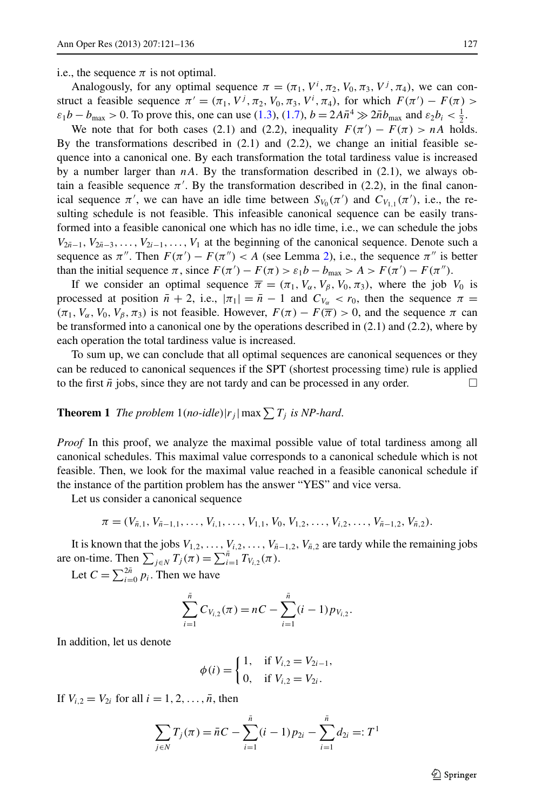i.e., the sequence  $\pi$  is not optimal.

Analogously, for any optimal sequence  $\pi = (\pi_1, V^i, \pi_2, V_0, \pi_3, V^j, \pi_4)$ , we can construct a feasible sequence  $\pi' = (\pi_1, V^j, \pi_2, V_0, \pi_3, V^i, \pi_4)$ , for which  $F(\pi') - F(\pi)$  $\varepsilon_1 b - b_{\text{max}} > 0$ . To prove this, one can use ([1.3\)](#page-3-3), ([1.7\)](#page-3-4),  $b = 2A\bar{n}^4 \gg 2\bar{n}b_{\text{max}}$  and  $\varepsilon_2 b_i < \frac{1}{2}$ .

We note that for both cases (2.1) and (2.2), inequality  $F(\pi') - F(\pi) > nA$  holds. By the transformations described in  $(2.1)$  and  $(2.2)$ , we change an initial feasible sequence into a canonical one. By each transformation the total tardiness value is increased by a number larger than  $nA$ . By the transformation described in  $(2.1)$ , we always obtain a feasible sequence  $\pi'$ . By the transformation described in (2.2), in the final canonical sequence  $\pi'$ , we can have an idle time between  $S_{V_0}(\pi')$  and  $C_{V_{1,1}}(\pi')$ , i.e., the resulting schedule is not feasible. This infeasible canonical sequence can be easily transformed into a feasible canonical one which has no idle time, i.e., we can schedule the jobs  $V_{2n-1}, V_{2n-3}, \ldots, V_{2i-1}, \ldots, V_1$  at the beginning of the canonical sequence. Denote such a sequence as  $\pi''$ . Then  $F(\pi') - F(\pi'') < A$  (see Lemma [2\)](#page-4-1), i.e., the sequence  $\pi''$  is better than the initial sequence  $\pi$ , since  $F(\pi') - F(\pi) > \varepsilon_1 b - b_{\max} > A > F(\pi') - F(\pi'')$ .

<span id="page-6-0"></span>If we consider an optimal sequence  $\overline{\pi} = (\pi_1, V_\alpha, V_\beta, V_0, \pi_3)$ , where the job  $V_0$  is processed at position  $\bar{n} + 2$ , i.e.,  $|\pi_1| = \bar{n} - 1$  and  $C_{V_\alpha} < r_0$ , then the sequence  $\pi =$  $(\pi_1, V_\alpha, V_0, V_\beta, \pi_3)$  is not feasible. However,  $F(\pi) - F(\overline{\pi}) > 0$ , and the sequence  $\pi$  can be transformed into a canonical one by the operations described in (2.1) and (2.2), where by each operation the total tardiness value is increased.

To sum up, we can conclude that all optimal sequences are canonical sequences or they can be reduced to canonical sequences if the SPT (shortest processing time) rule is applied to the first  $\bar{n}$  jobs, since they are not tardy and can be processed in any order.

**Theorem 1** *The problem*  $1$ (*no-idle*)| $r_j$ | max $\sum T_j$  *is NP-hard*.

*Proof* In this proof, we analyze the maximal possible value of total tardiness among all canonical schedules. This maximal value corresponds to a canonical schedule which is not feasible. Then, we look for the maximal value reached in a feasible canonical schedule if the instance of the partition problem has the answer "YES" and vice versa.

Let us consider a canonical sequence

$$
\pi = (V_{\bar{n},1}, V_{\bar{n}-1,1}, \ldots, V_{i,1}, \ldots, V_{1,1}, V_0, V_{1,2}, \ldots, V_{i,2}, \ldots, V_{\bar{n}-1,2}, V_{\bar{n},2}).
$$

It is known that the jobs  $V_{1,2}, \ldots, V_{i,2}, \ldots, V_{\bar{n}-1,2}, V_{\bar{n},2}$  are tardy while the remaining jobs are on-time. Then  $\sum_{j \in N} T_j(\pi) = \sum_{i=1}^{\bar{n}} T_{V_{i,2}}(\pi)$ .

Let  $C = \sum_{i=0}^{2n} p_i$ . Then we have

$$
\sum_{i=1}^{\bar{n}} C_{V_{i,2}}(\pi) = nC - \sum_{i=1}^{\bar{n}} (i-1) p_{V_{i,2}}.
$$

In addition, let us denote

$$
\phi(i) = \begin{cases} 1, & \text{if } V_{i,2} = V_{2i-1}, \\ 0, & \text{if } V_{i,2} = V_{2i}. \end{cases}
$$

If  $V_{i,2} = V_{2i}$  for all  $i = 1, 2, ..., \bar{n}$ , then

$$
\sum_{j \in N} T_j(\pi) = \bar{n}C - \sum_{i=1}^{\bar{n}} (i-1)p_{2i} - \sum_{i=1}^{\bar{n}} d_{2i} =: T^1
$$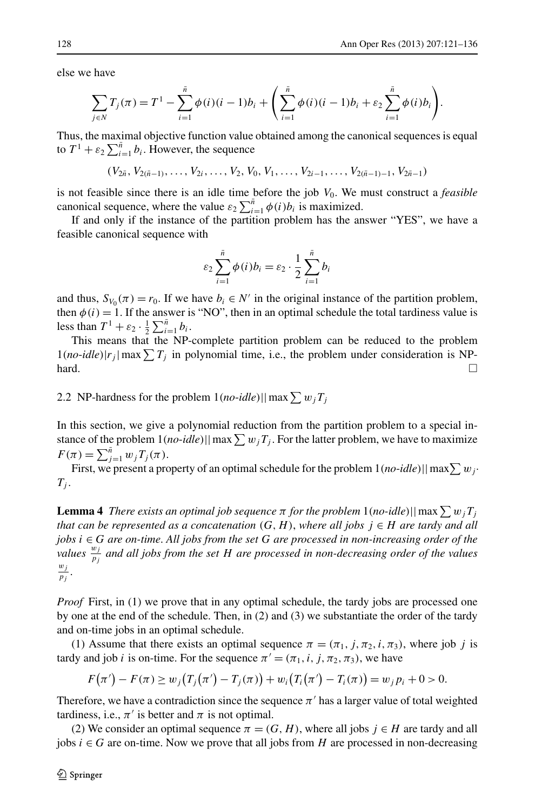else we have

$$
\sum_{j \in N} T_j(\pi) = T^1 - \sum_{i=1}^{\bar{n}} \phi(i)(i-1)b_i + \left(\sum_{i=1}^{\bar{n}} \phi(i)(i-1)b_i + \varepsilon_2 \sum_{i=1}^{\bar{n}} \phi(i)b_i\right).
$$

Thus, the maximal objective function value obtained among the canonical sequences is equal to  $T^1 + \varepsilon_2 \sum_{i=1}^{\bar{n}} b_i$ . However, the sequence

 $(V_{2\bar{n}}, V_{2(\bar{n}-1)}, \ldots, V_{2i}, \ldots, V_2, V_0, V_1, \ldots, V_{2i-1}, \ldots, V_{2(\bar{n}-1)-1}, V_{2\bar{n}-1})$ 

is not feasible since there is an idle time before the job  $V_0$ . We must construct a *feasible* canonical sequence, where the value  $\varepsilon_2 \sum_{i=1}^{\bar{n}} \phi(i) b_i$  is maximized.

If and only if the instance of the partition problem has the answer "YES", we have a feasible canonical sequence with

$$
\varepsilon_2 \sum_{i=1}^{\bar{n}} \phi(i) b_i = \varepsilon_2 \cdot \frac{1}{2} \sum_{i=1}^{\bar{n}} b_i
$$

<span id="page-7-1"></span>and thus,  $S_{V_0}(\pi) = r_0$ . If we have  $b_i \in N'$  in the original instance of the partition problem, then  $\phi(i) = 1$ . If the answer is "NO", then in an optimal schedule the total tardiness value is less than  $T^1 + \varepsilon_2 \cdot \frac{1}{2} \sum_{i=1}^{\bar{n}} b_i$ .

This means that the NP-complete partition problem can be reduced to the problem  $1(no$ -*idle*)| $r_j$ | max $\sum T_j$  in polynomial time, i.e., the problem under consideration is NP- $\Box$ 

## <span id="page-7-0"></span>2.2 NP-hardness for the problem  $1(no$ - $idle)$ ||max $\sum w_j T_j$

In this section, we give a polynomial reduction from the partition problem to a special instance of the problem  $1(no$ - $idle)$ || max  $\sum w_jT_j$ . For the latter problem, we have to maximize  $F(\pi) = \sum_{j=1}^{\bar{n}} w_j T_j(\pi).$ 

First, we present a property of an optimal schedule for the problem  $1(no\text{-}idle)||\max\sum w_j\cdot$  $T_j$ .

**Lemma 4** *There exists an optimal job sequence*  $\pi$  *for the problem* 1(*no-idle*)||max $\sum w_j T_j$ *that can be represented as a concatenation*  $(G, H)$ , *where all jobs*  $j \in H$  *are tardy and all jobs i* ∈ *G are on-time*. *All jobs from the set G are processed in non-increasing order of the values*  $\frac{w_j}{p_j}$  *and all jobs from the set H are processed in non-decreasing order of the values*  $\frac{w_j}{p_j}$ .

*Proof* First, in (1) we prove that in any optimal schedule, the tardy jobs are processed one by one at the end of the schedule. Then, in (2) and (3) we substantiate the order of the tardy and on-time jobs in an optimal schedule.

(1) Assume that there exists an optimal sequence  $\pi = (\pi_1, j, \pi_2, i, \pi_3)$ , where job *j* is tardy and job *i* is on-time. For the sequence  $\pi' = (\pi_1, i, j, \pi_2, \pi_3)$ , we have

$$
F(\pi') - F(\pi) \ge w_j(T_j(\pi') - T_j(\pi)) + w_i(T_i(\pi') - T_i(\pi)) = w_j p_i + 0 > 0.
$$

Therefore, we have a contradiction since the sequence  $\pi'$  has a larger value of total weighted tardiness, i.e.,  $\pi'$  is better and  $\pi$  is not optimal.

(2) We consider an optimal sequence  $\pi = (G, H)$ , where all jobs  $j \in H$  are tardy and all jobs  $i ∈ G$  are on-time. Now we prove that all jobs from  $H$  are processed in non-decreasing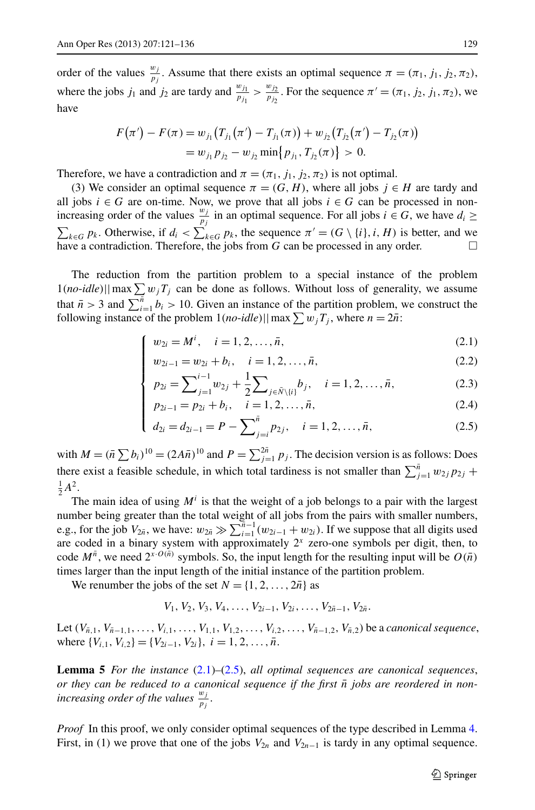order of the values  $\frac{w_j}{p_j}$ . Assume that there exists an optimal sequence  $\pi = (\pi_1, j_1, j_2, \pi_2)$ , where the jobs  $j_1$  and  $j_2$  are tardy and  $\frac{w_{j_1}}{p_{j_1}} > \frac{w_{j_2}}{p_{j_2}}$ . For the sequence  $\pi' = (\pi_1, j_2, j_1, \pi_2)$ , we have

$$
F(\pi') - F(\pi) = w_{j_1}(T_{j_1}(\pi') - T_{j_1}(\pi)) + w_{j_2}(T_{j_2}(\pi') - T_{j_2}(\pi))
$$
  
=  $w_{j_1}p_{j_2} - w_{j_2}\min\{p_{j_1}, T_{j_2}(\pi)\} > 0.$ 

Therefore, we have a contradiction and  $\pi = (\pi_1, j_1, j_2, \pi_2)$  is not optimal.

(3) We consider an optimal sequence  $\pi = (G, H)$ , where all jobs  $j \in H$  are tardy and all jobs  $i \in G$  are on-time. Now, we prove that all jobs  $i \in G$  can be processed in nonincreasing order of the values  $\frac{w_j}{p_j}$  in an optimal sequence. For all jobs  $i \in G$ , we have  $d_i \geq$  $\sum_{k \in G} p_k$ . Otherwise, if  $d_i < \sum_{k \in G} p_k$ , the sequence  $\pi' = (G \setminus \{i\}, i, H)$  is better, and we have a contradiction. Therefore, the jobs from  $G$  can be processed in any order.  $\Box$ 

The reduction from the partition problem to a special instance of the problem  $1(no$ -*idle*)||max $\sum w_jT_j$  can be done as follows. Without loss of generality, we assume that  $\bar{n} > 3$  and  $\sum_{i=1}^{\bar{n}} b_i > 10$ . Given an instance of the partition problem, we construct the following instance of the problem  $1(no$ - $idle)$ ||max $\sum w_j T_j$ , where  $n = 2\bar{n}$ :

<span id="page-8-1"></span><span id="page-8-0"></span>
$$
\left\{ \begin{array}{ll} w_{2i} = M^i, & i = 1, 2, \dots, \bar{n}, \end{array} \right. \tag{2.1}
$$

$$
\begin{cases}\nw_{2i-1} = w_{2i} + b_i, & i = 1, 2, ..., \bar{n}, \\
n_{2i} = \sum_{i=1}^{i-1} w_{2i} + \frac{1}{2} \sum_{j=1}^{i} b_j, & i = 1, 2, ..., \bar{n}\n\end{cases}
$$
\n(2.2)

$$
p_{2i} = \sum_{j=1}^{i-1} w_{2j} + \frac{1}{2} \sum_{j \in \bar{N} \setminus \{i\}} b_j, \quad i = 1, 2, \dots, \bar{n},
$$
 (2.3)

$$
\begin{cases}\np_{2i-1} = p_{2i} + b_i, & i = 1, 2, \dots, \bar{n}, \\
d_{2i} = d_{2i-1} = P - \sum_{i=1}^{\bar{n}} p_{2i}, & i = 1, 2, \dots, \bar{n},\n\end{cases}
$$
\n(2.4)

$$
d_{2i} = d_{2i-1} = P - \sum_{j=i}^{\bar{n}} p_{2j}, \quad i = 1, 2, \dots, \bar{n},
$$
\n(2.5)

with  $M = (\bar{n} \sum b_i)^{10} = (2A\bar{n})^{10}$  and  $P = \sum_{j=1}^{2\bar{n}} p_j$ . The decision version is as follows: Does there exist a feasible schedule, in which total tardiness is not smaller than  $\sum_{j=1}^{n} w_{2j} p_{2j}$  +  $\frac{1}{2}A^2$ .

The main idea of using  $M^i$  is that the weight of a job belongs to a pair with the largest number being greater than the total weight of all jobs from the pairs with smaller numbers, e.g., for the job  $V_{2n}$ , we have:  $w_{2n} \gg \sum_{i=1}^{n-1} (w_{2i-1} + w_{2i})$ . If we suppose that all digits used are coded in a binary system with approximately  $2^x$  zero-one symbols per digit, then, to code  $M^{\bar{n}}$ , we need  $2^{x \cdot O(\bar{n})}$  symbols. So, the input length for the resulting input will be  $O(\bar{n})$ times larger than the input length of the initial instance of the partition problem.

We renumber the jobs of the set  $N = \{1, 2, ..., 2\overline{n}\}\$  as

$$
V_1, V_2, V_3, V_4, \ldots, V_{2i-1}, V_{2i}, \ldots, V_{2n-1}, V_{2n}.
$$

Let  $(V_{\bar{n},1}, V_{\bar{n}-1,1}, \ldots, V_{i,1}, \ldots, V_{1,1}, V_{1,2}, \ldots, V_{i,2}, \ldots, V_{\bar{n}-1,2}, V_{\bar{n},2})$  be a *canonical sequence*, where  $\{V_{i,1}, V_{i,2}\} = \{V_{2i-1}, V_{2i}\}, i = 1, 2, \ldots, \bar{n}.$ 

**Lemma 5** *For the instance* ([2.1\)](#page-8-0)*–*([2.5\)](#page-8-1), *all optimal sequences are canonical sequences*, *or they can be reduced to a canonical sequence if the first*  $\bar{n}$  *jobs are reordered in nonincreasing order of the values*  $\frac{w_j}{p_j}$ .

*Proof* In this proof, we only consider optimal sequences of the type described in Lemma [4](#page-7-0). First, in (1) we prove that one of the jobs  $V_{2n}$  and  $V_{2n-1}$  is tardy in any optimal sequence.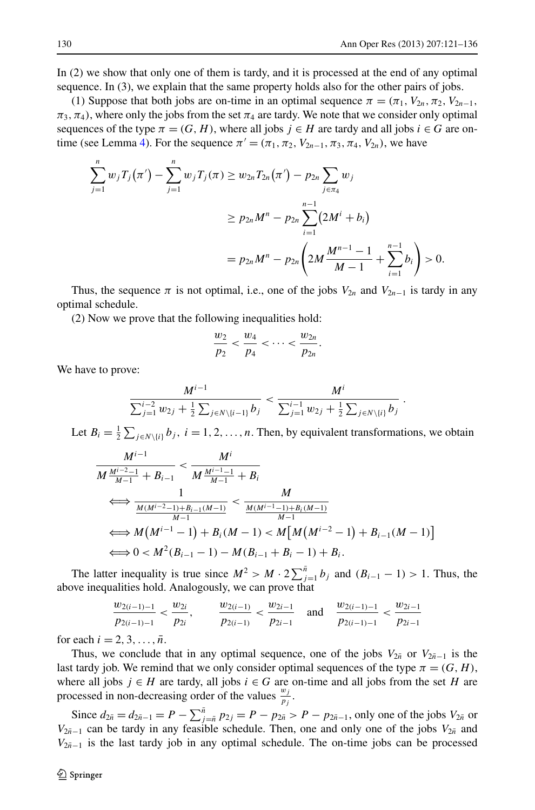*.*

In (2) we show that only one of them is tardy, and it is processed at the end of any optimal sequence. In (3), we explain that the same property holds also for the other pairs of jobs.

(1) Suppose that both jobs are on-time in an optimal sequence  $\pi = (\pi_1, V_{2n}, \pi_2, V_{2n-1},$  $\pi_3$ ,  $\pi_4$ ), where only the jobs from the set  $\pi_4$  are tardy. We note that we consider only optimal sequences of the type  $\pi = (G, H)$ , where all jobs  $j \in H$  are tardy and all jobs  $i \in G$  are on-time (see Lemma [4\)](#page-7-0). For the sequence  $\pi' = (\pi_1, \pi_2, V_{2n-1}, \pi_3, \pi_4, V_{2n})$ , we have

$$
\sum_{j=1}^{n} w_j T_j(\pi') - \sum_{j=1}^{n} w_j T_j(\pi) \ge w_{2n} T_{2n}(\pi') - p_{2n} \sum_{j \in \pi_4} w_j
$$
  

$$
\ge p_{2n} M^n - p_{2n} \sum_{i=1}^{n-1} (2M^i + b_i)
$$
  

$$
= p_{2n} M^n - p_{2n} \left( 2M \frac{M^{n-1} - 1}{M - 1} + \sum_{i=1}^{n-1} b_i \right) > 0.
$$

Thus, the sequence  $\pi$  is not optimal, i.e., one of the jobs  $V_{2n}$  and  $V_{2n-1}$  is tardy in any optimal schedule.

(2) Now we prove that the following inequalities hold:

$$
\frac{w_2}{p_2} < \frac{w_4}{p_4} < \cdots < \frac{w_{2n}}{p_{2n}}.
$$

We have to prove:

$$
\frac{M^{i-1}}{\sum_{j=1}^{i-2} w_{2j} + \frac{1}{2}\sum_{j\in N\setminus\{i-1\}} b_j} < \frac{M^i}{\sum_{j=1}^{i-1} w_{2j} + \frac{1}{2}\sum_{j\in N\setminus\{i\}} b_j}
$$

Let  $B_i = \frac{1}{2} \sum_{j \in N \setminus \{i\}} b_j$ ,  $i = 1, 2, ..., n$ . Then, by equivalent transformations, we obtain

$$
\frac{M^{i-1}}{M\frac{M^{i-2}-1}{M-1}+B_{i-1}} < \frac{M^i}{M\frac{M^{i-1}-1}{M-1}+B_i} \\
\iff \frac{1}{\frac{M(M^{i-2}-1)+B_{i-1}(M-1)}{M-1}} < \frac{M}{\frac{M(M^{i-1}-1)+B_i(M-1)}{M-1}} \\
\iff M\left(M^{i-1}-1\right)+B_i(M-1) < M\left[M\left(M^{i-2}-1\right)+B_{i-1}(M-1)\right] \\
\iff 0 < M^2(B_{i-1}-1)-M(B_{i-1}+B_i-1)+B_i.
$$

The latter inequality is true since  $M^2 > M \cdot 2 \sum_{j=1}^{n} b_j$  and  $(B_{i-1} - 1) > 1$ . Thus, the above inequalities hold. Analogously, we can prove that

$$
\frac{w_{2(i-1)-1}}{p_{2(i-1)-1}} < \frac{w_{2i}}{p_{2i}}, \qquad \frac{w_{2(i-1)}}{p_{2(i-1)}} < \frac{w_{2i-1}}{p_{2i-1}} \quad \text{and} \quad \frac{w_{2(i-1)-1}}{p_{2(i-1)-1}} < \frac{w_{2i-1}}{p_{2i-1}}
$$

for each  $i = 2, 3, \ldots, \bar{n}$ .

Thus, we conclude that in any optimal sequence, one of the jobs  $V_{2n}$  or  $V_{2n-1}$  is the last tardy job. We remind that we only consider optimal sequences of the type  $\pi = (G, H)$ , where all jobs  $j \in H$  are tardy, all jobs  $i \in G$  are on-time and all jobs from the set *H* are processed in non-decreasing order of the values  $\frac{w_j}{p_j}$ .

Since  $d_{2\bar{n}} = d_{2\bar{n}-1} = P - \sum_{j=\bar{n}}^{\bar{n}} p_{2j} = P - p_{2\bar{n}} > P - p_{2\bar{n}-1}$ , only one of the jobs  $V_{2\bar{n}}$  or *V*<sub>2*n*<sup>−1</sup></sub> can be tardy in any feasible schedule. Then, one and only one of the jobs  $V_{2n}$  and  $V_{2n-1}$  is the last tardy job in any optimal schedule. The on-time jobs can be processed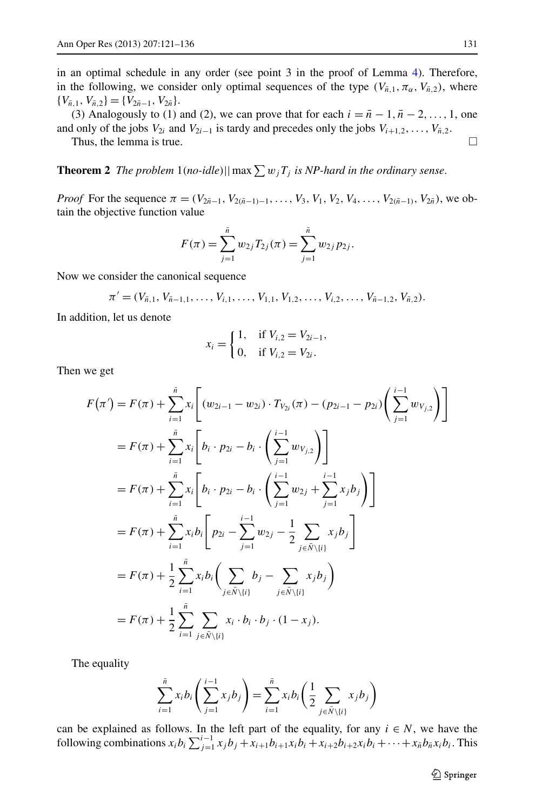<span id="page-10-0"></span>in an optimal schedule in any order (see point 3 in the proof of Lemma [4\)](#page-7-0). Therefore, in the following, we consider only optimal sequences of the type  $(V_{\bar{n},1}, \pi_\alpha, V_{\bar{n},2})$ , where  ${V_{\bar{n},1}, V_{\bar{n},2}}={V_{2\bar{n}-1}, V_{2\bar{n}}}.$ 

(3) Analogously to (1) and (2), we can prove that for each  $i = \overline{n} - 1, \overline{n} - 2, \ldots, 1$ , one and only of the jobs  $V_{2i}$  and  $V_{2i-1}$  is tardy and precedes only the jobs  $V_{i+1,2}, \ldots, V_{\bar{n},2}$ .

Thus, the lemma is true.  $\Box$ 

**Theorem 2** *The problem*  $1$ (*no-idle*)||max  $\sum w_jT_j$  *is NP-hard in the ordinary sense.* 

*Proof* For the sequence  $\pi = (V_{2n-1}, V_{2(n-1)-1}, \ldots, V_3, V_1, V_2, V_4, \ldots, V_{2(n-1)}, V_{2n})$ , we obtain the objective function value

$$
F(\pi) = \sum_{j=1}^{\bar{n}} w_{2j} T_{2j}(\pi) = \sum_{j=1}^{\bar{n}} w_{2j} p_{2j}.
$$

Now we consider the canonical sequence

$$
\pi' = (V_{\bar{n},1}, V_{\bar{n}-1,1}, \ldots, V_{i,1}, \ldots, V_{1,1}, V_{1,2}, \ldots, V_{i,2}, \ldots, V_{\bar{n}-1,2}, V_{\bar{n},2}).
$$

In addition, let us denote

$$
x_i = \begin{cases} 1, & \text{if } V_{i,2} = V_{2i-1}, \\ 0, & \text{if } V_{i,2} = V_{2i}. \end{cases}
$$

Then we get

$$
F(\pi') = F(\pi) + \sum_{i=1}^{\bar{n}} x_i \left[ (w_{2i-1} - w_{2i}) \cdot T_{V_{2i}}(\pi) - (p_{2i-1} - p_{2i}) \left( \sum_{j=1}^{i-1} w_{V_{j,2}} \right) \right]
$$
  
\n
$$
= F(\pi) + \sum_{i=1}^{\bar{n}} x_i \left[ b_i \cdot p_{2i} - b_i \cdot \left( \sum_{j=1}^{i-1} w_{V_{j,2}} \right) \right]
$$
  
\n
$$
= F(\pi) + \sum_{i=1}^{\bar{n}} x_i \left[ b_i \cdot p_{2i} - b_i \cdot \left( \sum_{j=1}^{i-1} w_{2j} + \sum_{j=1}^{i-1} x_j b_j \right) \right]
$$
  
\n
$$
= F(\pi) + \sum_{i=1}^{\bar{n}} x_i b_i \left[ p_{2i} - \sum_{j=1}^{i-1} w_{2j} - \frac{1}{2} \sum_{j \in \bar{N} \setminus \{i\}} x_j b_j \right]
$$
  
\n
$$
= F(\pi) + \frac{1}{2} \sum_{i=1}^{\bar{n}} x_i b_i \left( \sum_{j \in \bar{N} \setminus \{i\}} b_j - \sum_{j \in \bar{N} \setminus \{i\}} x_j b_j \right)
$$
  
\n
$$
= F(\pi) + \frac{1}{2} \sum_{i=1}^{\bar{n}} \sum_{j \in \bar{N} \setminus \{i\}} x_i \cdot b_i \cdot b_j \cdot (1 - x_j).
$$

The equality

$$
\sum_{i=1}^{\bar{n}} x_i b_i \left( \sum_{j=1}^{i-1} x_j b_j \right) = \sum_{i=1}^{\bar{n}} x_i b_i \left( \frac{1}{2} \sum_{j \in \bar{N} \setminus \{i\}} x_j b_j \right)
$$

can be explained as follows. In the left part of the equality, for any  $i \in N$ , we have the following combinations  $x_i b_i \sum_{j=1}^{i-1} x_j b_j + x_{i+1} b_{i+1} x_i b_i + x_{i+2} b_{i+2} x_i b_i + \cdots + x_{\bar{n}} b_{\bar{n}} x_i b_i$ . This

2 Springer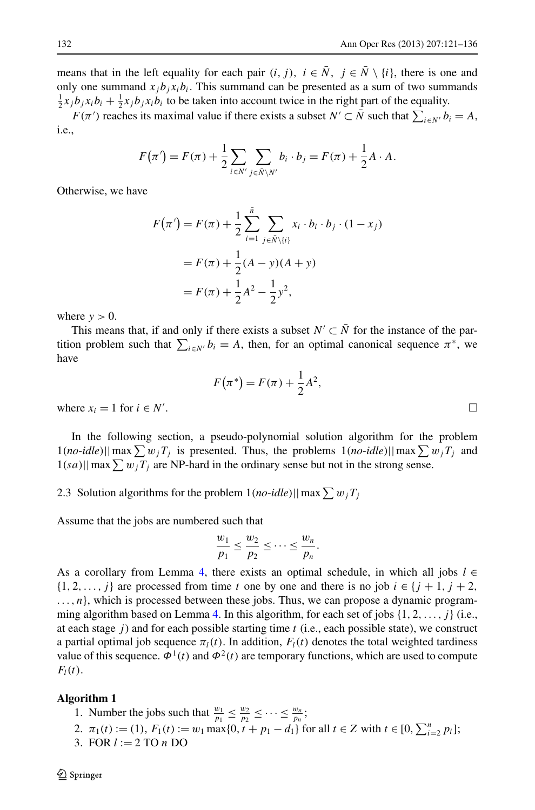means that in the left equality for each pair  $(i, j)$ ,  $i \in \overline{N}$ ,  $j \in \overline{N} \setminus \{i\}$ , there is one and only one summand  $x_i b_i x_i b_i$ . This summand can be presented as a sum of two summands  $\frac{1}{2}x_jb_jx_ib_i + \frac{1}{2}x_jb_jx_ib_i$  to be taken into account twice in the right part of the equality.

*F*( $\pi'$ ) reaches its maximal value if there exists a subset *N'* ⊂  $\overline{N}$  such that  $\sum_{i \in N'} b_i = A$ , i.e.,

$$
F(\pi') = F(\pi) + \frac{1}{2} \sum_{i \in N'} \sum_{j \in \tilde{N} \setminus N'} b_i \cdot b_j = F(\pi) + \frac{1}{2} A \cdot A.
$$

Otherwise, we have

$$
F(\pi') = F(\pi) + \frac{1}{2} \sum_{i=1}^{\tilde{n}} \sum_{j \in \tilde{N} \setminus \{i\}} x_i \cdot b_i \cdot b_j \cdot (1 - x_j)
$$
  
=  $F(\pi) + \frac{1}{2} (A - y) (A + y)$   
=  $F(\pi) + \frac{1}{2} A^2 - \frac{1}{2} y^2$ ,

where  $y > 0$ .

This means that, if and only if there exists a subset  $N' \subset N$  for the instance of the partition problem such that  $\sum_{i \in N'} b_i = A$ , then, for an optimal canonical sequence  $\pi^*$ , we have

$$
F(\pi^*) = F(\pi) + \frac{1}{2}A^2,
$$

where  $x_i = 1$  for  $i \in N'$ .

In the following section, a pseudo-polynomial solution algorithm for the problem  $1(no$ -*idle*)||max $\sum w_j T_j$  is presented. Thus, the problems  $1(no$ -*idle*)||max $\sum w_j T_j$  and  $1(sa)||\max \sum w_jT_j$  are NP-hard in the ordinary sense but not in the strong sense.

2.3 Solution algorithms for the problem  $1(no$ -*idle*)||max $\sum w_j T_j$ 

Assume that the jobs are numbered such that

$$
\frac{w_1}{p_1}\leq \frac{w_2}{p_2}\leq \cdots \leq \frac{w_n}{p_n}.
$$

<span id="page-11-0"></span>As a corollary from Lemma [4](#page-7-0), there exists an optimal schedule, in which all jobs  $l \in$ {1*,* 2*,...,j* } are processed from time *t* one by one and there is no job *i* ∈ {*j* + 1*,j* + 2*, ...,n*}, which is processed between these jobs. Thus, we can propose a dynamic programming algorithm based on Lemma [4](#page-7-0). In this algorithm, for each set of jobs {1*,* 2*,...,j* } (i.e., at each stage *j* ) and for each possible starting time *t* (i.e., each possible state), we construct a partial optimal job sequence  $\pi_l(t)$ . In addition,  $F_l(t)$  denotes the total weighted tardiness value of this sequence.  $\Phi^1(t)$  and  $\Phi^2(t)$  are temporary functions, which are used to compute  $F_l(t)$ .

#### **Algorithm 1**

- 1. Number the jobs such that  $\frac{w_1}{p_1} \leq \frac{w_2}{p_2} \leq \cdots \leq \frac{w_n}{p_n};$
- 2.  $\pi_1(t) := (1), F_1(t) := w_1 \max\{0, t + p_1 d_1\}$  for all  $t \in \mathbb{Z}$  with  $t \in [0, \sum_{i=2}^n p_i]$ ;
- 3. FOR *l* := 2 TO *n* DO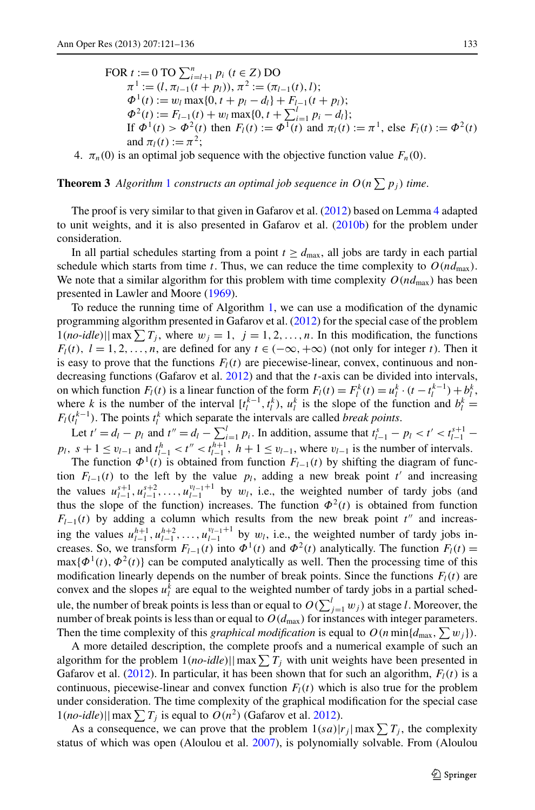FOR  $t := 0$  TO  $\sum_{i=l+1}^{n} p_i$  ( $t \in Z$ ) DO  $\pi^1 := (l, \pi_{l-1}(t + p_l)), \pi^2 := (\pi_{l-1}(t), l);$  $\Phi^1(t) := w_l \max\{0, t + p_l - d_l\} + F_{l-1}(t + p_l);$  $\Phi^2(t) := F_{l-1}(t) + w_l \max\{0, t + \sum_{i=1}^l p_i - d_l\};$ If  $\Phi^1(t) > \Phi^2(t)$  then  $F_l(t) := \Phi^1(t)$  and  $\pi_l(t) := \pi^1$ , else  $F_l(t) := \Phi^2(t)$ and  $\pi_l(t) := \pi^2$ ;

4.  $\pi_n(0)$  is an optimal job sequence with the objective function value  $F_n(0)$ .

**Theorem 3** Algorithm [1](#page-11-0) constructs an optimal job sequence in  $O(n \sum p_i)$  time.

The proof is very similar to that given in Gafarov et al. [\(2012](#page-15-3)) based on Lemma [4](#page-7-0) adapted to unit weights, and it is also presented in Gafarov et al. [\(2010b\)](#page-15-6) for the problem under consideration.

In all partial schedules starting from a point  $t \geq d_{\text{max}}$ , all jobs are tardy in each partial schedule which starts from time *t*. Thus, we can reduce the time complexity to  $O(nd_{\text{max}})$ . We note that a similar algorithm for this problem with time complexity  $O(nd_{\text{max}})$  has been presented in Lawler and Moore [\(1969\)](#page-15-5).

To reduce the running time of Algorithm [1,](#page-11-0) we can use a modification of the dynamic programming algorithm presented in Gafarov et al. ([2012](#page-15-3)) for the special case of the problem  $1(no$ -*idle*)||max  $\sum T_j$ , where  $w_j = 1$ ,  $j = 1, 2, ..., n$ . In this modification, the functions *F*<sub>l</sub>(t),  $l = 1, 2, ..., n$ , are defined for any  $t \in (-\infty, +\infty)$  (not only for integer t). Then it is easy to prove that the functions  $F_l(t)$  are piecewise-linear, convex, continuous and nondecreasing functions (Gafarov et al. [2012\)](#page-15-3) and that the *t*-axis can be divided into intervals, on which function  $F_l(t)$  is a linear function of the form  $F_l(t) = F_l^k(t) = u_l^k \cdot (t - t_l^{k-1}) + b_l^k$ , where *k* is the number of the interval  $[t_l^{k-1}, t_l^k)$ ,  $u_l^k$  is the slope of the function and  $b_l^k =$  $F_l(t_l^{k-1})$ . The points  $t_l^k$  which separate the intervals are called *break points*.

Let  $t' = d_l - p_l$  and  $t'' = d_l - \sum_{i=1}^l p_i$ . In addition, assume that  $t_{l-1}^s - p_l < t' < t_{l-1}^{s+1}$ *p*<sub>l</sub>,  $s + 1 \le v_{l-1}$  and  $t_{l-1}^h < t'' < t_{l-1}^{h+1}$ ,  $h + 1 \le v_{l-1}$ , where  $v_{l-1}$  is the number of intervals.

The function  $\Phi^1(t)$  is obtained from function  $F_{l-1}(t)$  by shifting the diagram of function  $F_{l-1}(t)$  to the left by the value  $p_l$ , adding a new break point  $t'$  and increasing the values  $u_{l-1}^{s+1}, u_{l-1}^{s+2}, \ldots, u_{l-1}^{v_{l-1}+1}$  by  $w_l$ , i.e., the weighted number of tardy jobs (and thus the slope of the function) increases. The function  $\Phi^2(t)$  is obtained from function  $F_{l-1}(t)$  by adding a column which results from the new break point  $t''$  and increasing the values  $u_{l-1}^{h+1}, u_{l-1}^{h+2}, \ldots, u_{l-1}^{v_{l-1}+1}$  by  $w_l$ , i.e., the weighted number of tardy jobs increases. So, we transform  $F_{l-1}(t)$  into  $\Phi^1(t)$  and  $\Phi^2(t)$  analytically. The function  $F_l(t)$  =  $max{\{\Phi^1(t), \Phi^2(t)\}}$  can be computed analytically as well. Then the processing time of this modification linearly depends on the number of break points. Since the functions  $F_l(t)$  are convex and the slopes  $u_l^k$  are equal to the weighted number of tardy jobs in a partial schedule, the number of break points is less than or equal to  $O(\sum_{j=1}^{l} w_j)$  at stage *l*. Moreover, the number of break points is less than or equal to  $O(d_{\text{max}})$  for instances with integer parameters. Then the time complexity of this *graphical modification* is equal to  $O(n \min\{d_{\max}, \sum w_j\})$ .

A more detailed description, the complete proofs and a numerical example of such an algorithm for the problem  $1(no$ -*idle*)||max $\sum T_j$  with unit weights have been presented in Gafarov et al.  $(2012)$  $(2012)$ . In particular, it has been shown that for such an algorithm,  $F_l(t)$  is a continuous, piecewise-linear and convex function  $F_l(t)$  which is also true for the problem under consideration. The time complexity of the graphical modification for the special case  $1(no$ -*idle*)||max  $\sum T_j$  is equal to  $O(n^2)$  (Gafarov et al. [2012](#page-15-3)).

As a consequence, we can prove that the problem  $1(sa)|r_j|$  max  $\sum T_j$ , the complexity status of which was open (Aloulou et al. [2007](#page-15-0)), is polynomially solvable. From (Aloulou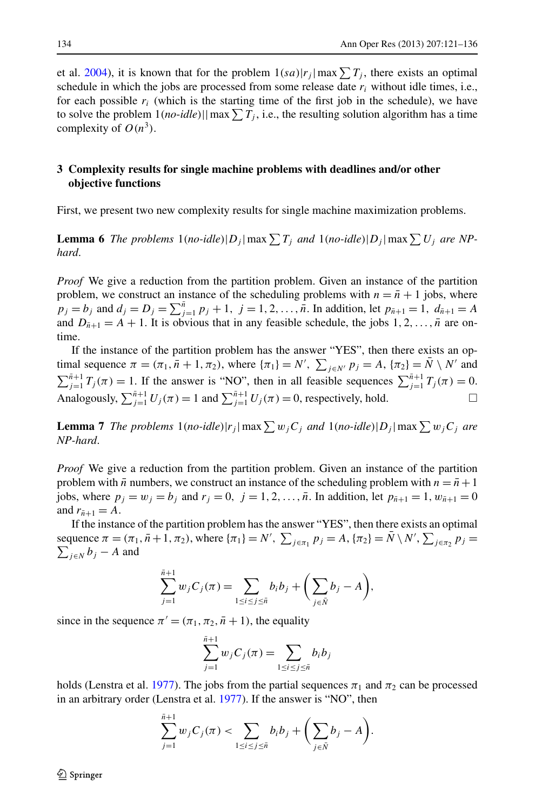<span id="page-13-0"></span>et al. [2004](#page-15-7)), it is known that for the problem  $1(sa)|r_j|$  max  $\sum T_j$ , there exists an optimal schedule in which the jobs are processed from some release date  $r_i$  without idle times, i.e., for each possible  $r_i$  (which is the starting time of the first job in the schedule), we have to solve the problem  $1(no$ -*idle*)||max $\sum T_j$ , i.e., the resulting solution algorithm has a time complexity of  $O(n^3)$ .

## <span id="page-13-1"></span>**3 Complexity results for single machine problems with deadlines and/or other objective functions**

First, we present two new complexity results for single machine maximization problems.

**Lemma 6** *The problems*  $1$ (*no-idle*)| $D_j$ | max  $\sum T_j$  *and*  $1$ (*no-idle*)| $D_j$ | max  $\sum U_j$  *are NPhard*.

<span id="page-13-2"></span>*Proof* We give a reduction from the partition problem. Given an instance of the partition problem, we construct an instance of the scheduling problems with  $n = \bar{n} + 1$  jobs, where  $p_j = b_j$  and  $d_j = D_j = \sum_{j=1}^n p_j + 1$ ,  $j = 1, 2, ..., \bar{n}$ . In addition, let  $p_{\bar{n}+1} = 1$ ,  $d_{\bar{n}+1} = A$ and  $D_{\bar{n}+1} = A + 1$ . It is obvious that in any feasible schedule, the jobs  $1, 2, \ldots, \bar{n}$  are ontime.

If the instance of the partition problem has the answer "YES", then there exists an optimal sequence  $\pi = (\pi_1, \bar{n} + 1, \pi_2)$ , where  $\{\pi_1\} = N'$ ,  $\sum_{j \in N'} p_j = A$ ,  $\{\pi_2\} = \bar{N} \setminus N'$  and  $\sum_{j=1}^{n+1} T_j(\pi) = 1$ . If the answer is "NO", then in all feasible sequences  $\sum_{j=1}^{n+1} T_j(\pi) = 0$ . Analogously,  $\sum_{j=1}^{n+1} U_j(\pi) = 1$  and  $\sum_{j=1}^{n+1} U_j(\pi) = 0$ , respectively, hold.

**Lemma 7** *The problems*  $1$ (*no-idle*)| $r_j$ | max  $\sum w_jC_j$  *and*  $1$ (*no-idle*)| $D_j$ | max  $\sum w_jC_j$  *are NP-hard*.

*Proof* We give a reduction from the partition problem. Given an instance of the partition problem with  $\bar{n}$  numbers, we construct an instance of the scheduling problem with  $n = \bar{n} + 1$ jobs, where  $p_j = w_j = b_j$  and  $r_j = 0$ ,  $j = 1, 2, ..., \bar{n}$ . In addition, let  $p_{\bar{n}+1} = 1$ ,  $w_{\bar{n}+1} = 0$ and  $r_{\bar{n}+1} = A$ .

If the instance of the partition problem has the answer "YES", then there exists an optimal sequence  $π = (π_1, π + 1, π_2)$ , where  ${π_1} = N'$ ,  $\sum_{j \in π_1} p_j = A$ ,  ${π_2} = \overline{N} \setminus N'$ ,  $\sum_{j \in π_2} p_j = \sum_{j \in N} b_j - A$  and  $\sum_{j \in N} b_j - A$  and

$$
\sum_{j=1}^{\bar{n}+1} w_j C_j(\pi) = \sum_{1 \le i \le j \le \bar{n}} b_i b_j + \left( \sum_{j \in \bar{N}} b_j - A \right),
$$

since in the sequence  $\pi' = (\pi_1, \pi_2, \bar{n} + 1)$ , the equality

*n*¯+1

$$
\sum_{j=1}^{n+1} w_j C_j(\pi) = \sum_{1 \le i \le j \le \bar{n}} b_i b_j
$$

holds (Lenstra et al. [1977](#page-15-9)). The jobs from the partial sequences  $\pi_1$  and  $\pi_2$  can be processed in an arbitrary order (Lenstra et al. [1977\)](#page-15-9). If the answer is "NO", then

$$
\sum_{j=1}^{\bar{n}+1} w_j C_j(\pi) < \sum_{1 \le i \le j \le \bar{n}} b_i b_j + \left( \sum_{j \in \bar{N}} b_j - A \right).
$$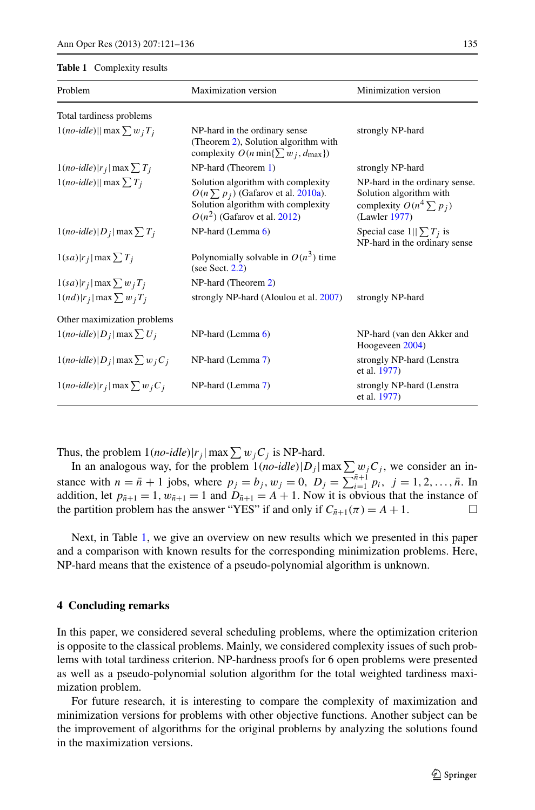#### <span id="page-14-0"></span>**Table 1** Complexity results

| Problem                                          | Maximization version                                                                                                                                  | Minimization version                                                                                       |
|--------------------------------------------------|-------------------------------------------------------------------------------------------------------------------------------------------------------|------------------------------------------------------------------------------------------------------------|
| Total tardiness problems                         |                                                                                                                                                       |                                                                                                            |
| $1(no$ -idle)   max $\sum w_j T_j$               | NP-hard in the ordinary sense<br>(Theorem 2), Solution algorithm with<br>complexity $O(n \min\{\sum w_i, d_{\max}\})$                                 | strongly NP-hard                                                                                           |
| $1(no\text{-}idle) r_j  \max \sum T_j$           | $NP$ -hard (Theorem 1)                                                                                                                                | strongly NP-hard                                                                                           |
| $1(no$ -idle)   max $\sum T_i$                   | Solution algorithm with complexity<br>$O(n \sum p_i)$ (Gafarov et al. 2010a).<br>Solution algorithm with complexity<br>$O(n^2)$ (Gafarov et al. 2012) | NP-hard in the ordinary sense.<br>Solution algorithm with<br>complexity $O(n^4 \sum p_i)$<br>(Lawler 1977) |
| $1(no$ -idle) $ D_j $ max $\sum T_j$             | $NP$ -hard (Lemma 6)                                                                                                                                  | Special case $1  \sum T_i$ is<br>NP-hard in the ordinary sense                                             |
| $1(sa) r_j $ max $\sum T_j$                      | Polynomially solvable in $O(n^3)$ time<br>(see Sect. $2.2$ )                                                                                          |                                                                                                            |
| $1(sa) r_j $ max $\sum w_j T_j$                  | NP-hard (Theorem 2)                                                                                                                                   |                                                                                                            |
| $1(nd) r_j $ max $\sum w_j T_j$                  | strongly NP-hard (Aloulou et al. 2007)                                                                                                                | strongly NP-hard                                                                                           |
| Other maximization problems                      |                                                                                                                                                       |                                                                                                            |
| $1(no$ -idle) D <sub>i</sub>  max $\sum U_i$     | $NP$ -hard (Lemma $6$ )                                                                                                                               | NP-hard (van den Akker and<br>Hoogeveen 2004)                                                              |
| $1(no$ -idle) D <sub>j</sub>  max $\sum w_i C_i$ | NP-hard (Lemma 7)                                                                                                                                     | strongly NP-hard (Lenstra<br>et al. 1977)                                                                  |
| $1(no$ -idle) r <sub>j</sub>  max $\sum w_i C_i$ | NP-hard (Lemma 7)                                                                                                                                     | strongly NP-hard (Lenstra<br>et al. 1977)                                                                  |

Thus, the problem  $1(no$ -*idle*)| $r_j$ | max  $\sum w_j C_j$  is NP-hard.

In an analogous way, for the problem  $1(no$ -*idle*) $|D_j|$  max  $\sum w_j C_j$ , we consider an instance with  $n = \bar{n} + 1$  jobs, where  $p_j = b_j$ ,  $w_j = 0$ ,  $D_j = \sum_{i=1}^{\bar{n}+1} p_i$ ,  $j = 1, 2, ..., \bar{n}$ . In addition, let  $p_{\bar{n}+1} = 1$ ,  $w_{\bar{n}+1} = 1$  and  $D_{\bar{n}+1} = A + 1$ . Now it is obvious that the instance of the partition problem has the answer "YES" if and only if  $C_{\bar{n}+1}(\pi) = A + 1$ .

Next, in Table [1,](#page-14-0) we give an overview on new results which we presented in this paper and a comparison with known results for the corresponding minimization problems. Here, NP-hard means that the existence of a pseudo-polynomial algorithm is unknown.

#### **4 Concluding remarks**

In this paper, we considered several scheduling problems, where the optimization criterion is opposite to the classical problems. Mainly, we considered complexity issues of such problems with total tardiness criterion. NP-hardness proofs for 6 open problems were presented as well as a pseudo-polynomial solution algorithm for the total weighted tardiness maximization problem.

For future research, it is interesting to compare the complexity of maximization and minimization versions for problems with other objective functions. Another subject can be the improvement of algorithms for the original problems by analyzing the solutions found in the maximization versions.